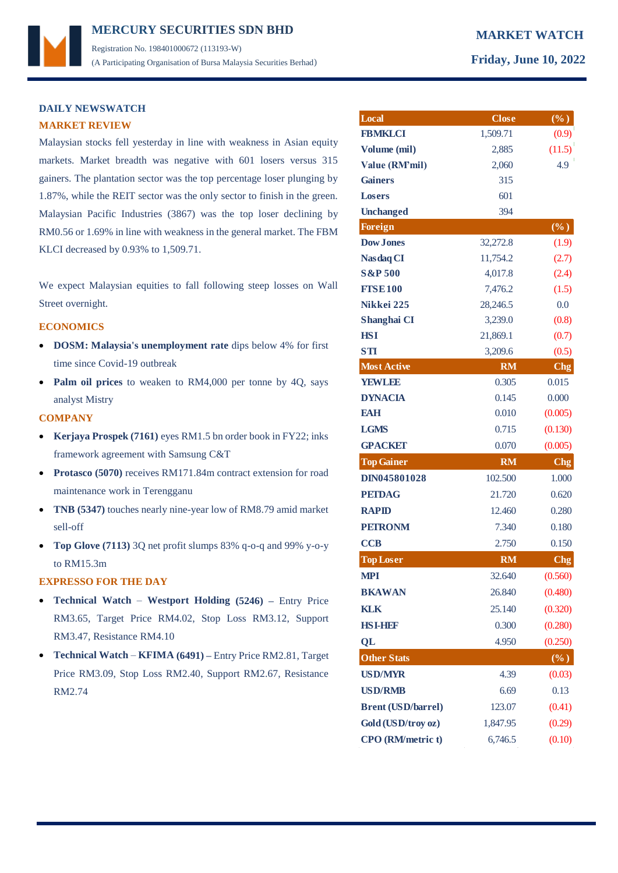# **MERCURY MARKET WATCH SECURITIES SDN BHD**  Registration No. 198401000672 (113193-W) (A Participating Organisation of Bursa Malaysia Securities Berhad) **Friday, June 10, 2022**

## **DAILY NEWSWATCH MARKET REVIEW**

Malaysian stocks fell yesterday in line with weakness in Asian equity markets. Market breadth was negative with 601 losers versus 315 gainers. The plantation sector was the top percentage loser plunging by 1.87%, while the REIT sector was the only sector to finish in the green. Malaysian Pacific Industries (3867) was the top loser declining by RM0.56 or 1.69% in line with weakness in the general market. The FBM KLCI decreased by 0.93% to 1,509.71.

We expect Malaysian equities to fall following steep losses on Wall Street overnight.

### **ECONOMICS**

- **DOSM: Malaysia's unemployment rate** dips below 4% for first time since Covid-19 outbreak
- **Palm oil prices** to weaken to RM4,000 per tonne by 4Q, says analyst Mistry

## **COMPANY**

- **Kerjaya Prospek (7161)** eyes RM1.5 bn order book in FY22; inks framework agreement with Samsung C&T
- **Protasco (5070)** receives RM171.84m contract extension for road maintenance work in Terengganu
- **TNB (5347)** touches nearly nine-year low of RM8.79 amid market sell-off
- **Top Glove (7113)** 3Q net profit slumps 83% q-o-q and 99% y-o-y to RM15.3m

### **EXPRESSO FOR THE DAY**

- **Technical Watch Westport Holding (5246) –** Entry Price RM3.65, Target Price RM4.02, Stop Loss RM3.12, Support RM3.47, Resistance RM4.10
- **Technical Watch KFIMA (6491) –** Entry Price RM2.81, Target Price RM3.09, Stop Loss RM2.40, Support RM2.67, Resistance RM2.74

| Local                                          | <b>Close</b>        | $(\%)$           |
|------------------------------------------------|---------------------|------------------|
| <b>FBMKLCI</b>                                 | 1,509.71            | (0.9)            |
| Volume (mil)                                   | 2,885               | (11.5)           |
| Value (RM'mil)                                 | 2,060               | 4.9              |
| <b>Gainers</b>                                 | 315                 |                  |
| <b>Losers</b>                                  | 601                 |                  |
| <b>Unchanged</b>                               | 394                 |                  |
| <b>Foreign</b>                                 |                     | $(\%)$           |
| <b>Dow Jones</b>                               | 32,272.8            | (1.9)            |
| <b>Nasdaq CI</b>                               | 11,754.2            | (2.7)            |
| <b>S&amp;P 500</b>                             | 4,017.8             | (2.4)            |
| <b>FISE100</b>                                 | 7,476.2             | (1.5)            |
| Nikkei 225                                     | 28,246.5            | 0.0              |
| Shanghai CI                                    | 3,239.0             | (0.8)            |
| <b>HSI</b>                                     | 21,869.1            | (0.7)            |
| <b>STI</b>                                     | 3,209.6             | (0.5)            |
| <b>Most Active</b>                             | <b>RM</b>           | $C$ hg           |
| <b>YEWLEE</b>                                  | 0.305               | 0.015            |
| <b>DYNACIA</b>                                 | 0.145               | 0.000            |
| <b>EAH</b>                                     | 0.010               | (0.005)          |
| <b>LGMS</b>                                    | 0.715               | (0.130)          |
| <b>GPACKET</b>                                 | 0.070               | (0.005)          |
| <b>Top Gainer</b>                              | <b>RM</b>           | C <sub>ng</sub>  |
| DIN045801028                                   | 102.500             | 1.000            |
| <b>PETDAG</b>                                  | 21.720              | 0.620            |
| <b>RAPID</b>                                   | 12.460              | 0.280            |
| <b>PETRONM</b>                                 | 7.340               | 0.180            |
| <b>CCB</b>                                     | 2.750               | 0.150            |
| <b>Top Loser</b>                               | <b>RM</b>           | <b>Chg</b>       |
| <b>MPI</b>                                     | 32.640              | (0.560)          |
| <b>BKAWAN</b>                                  | 26.840              | (0.480)          |
| <b>KLK</b>                                     | 25.140              | (0.320)          |
| HSEHDR                                         | 0.300               | (0.280)          |
| QL                                             | 4.950               | (0.250)          |
| <b>Other Stats</b>                             |                     | $(\%)$           |
| <b>USD/MYR</b>                                 | 4.39                | (0.03)           |
|                                                | 6.69                |                  |
| <b>USD/RMB</b>                                 |                     | 0.13             |
| <b>Brent (USD/barrel)</b>                      | 123.07              | (0.41)           |
|                                                |                     |                  |
| Gold (USD/troy oz)<br><b>CPO</b> (RM/metric t) | 1,847.95<br>6,746.5 | (0.29)<br>(0.10) |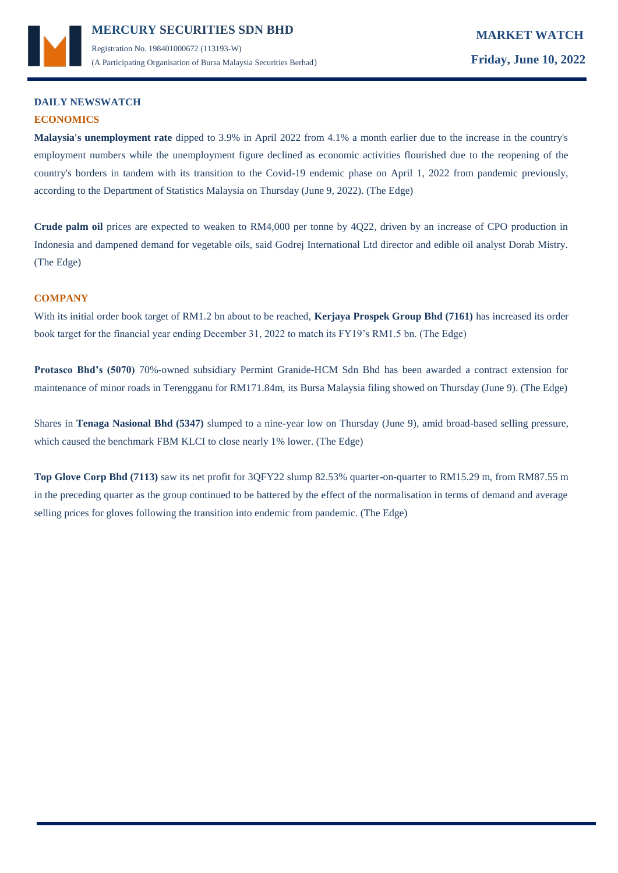

# **DAILY NEWSWATCH ECONOMICS**

**Malaysia's unemployment rate** dipped to 3.9% in April 2022 from 4.1% a month earlier due to the increase in the country's employment numbers while the unemployment figure declined as economic activities flourished due to the reopening of the country's borders in tandem with its transition to the Covid-19 endemic phase on April 1, 2022 from pandemic previously, according to the Department of Statistics Malaysia on Thursday (June 9, 2022). (The Edge)

**Crude palm oil** prices are expected to weaken to RM4,000 per tonne by 4Q22, driven by an increase of CPO production in Indonesia and dampened demand for vegetable oils, said Godrej International Ltd director and edible oil analyst Dorab Mistry. (The Edge)

## **COMPANY**

With its initial order book target of RM1.2 bn about to be reached, **Kerjaya Prospek Group Bhd (7161)** has increased its order book target for the financial year ending December 31, 2022 to match its FY19's RM1.5 bn. (The Edge)

**Protasco Bhd's (5070)** 70%-owned subsidiary Permint Granide-HCM Sdn Bhd has been awarded a contract extension for maintenance of minor roads in Terengganu for RM171.84m, its Bursa Malaysia filing showed on Thursday (June 9). (The Edge)

Shares in **Tenaga Nasional Bhd (5347)** slumped to a nine-year low on Thursday (June 9), amid broad-based selling pressure, which caused the benchmark FBM KLCI to close nearly 1% lower. (The Edge)

**Top Glove Corp Bhd (7113)** saw its net profit for 3QFY22 slump 82.53% quarter-on-quarter to RM15.29 m, from RM87.55 m in the preceding quarter as the group continued to be battered by the effect of the normalisation in terms of demand and average selling prices for gloves following the transition into endemic from pandemic. (The Edge)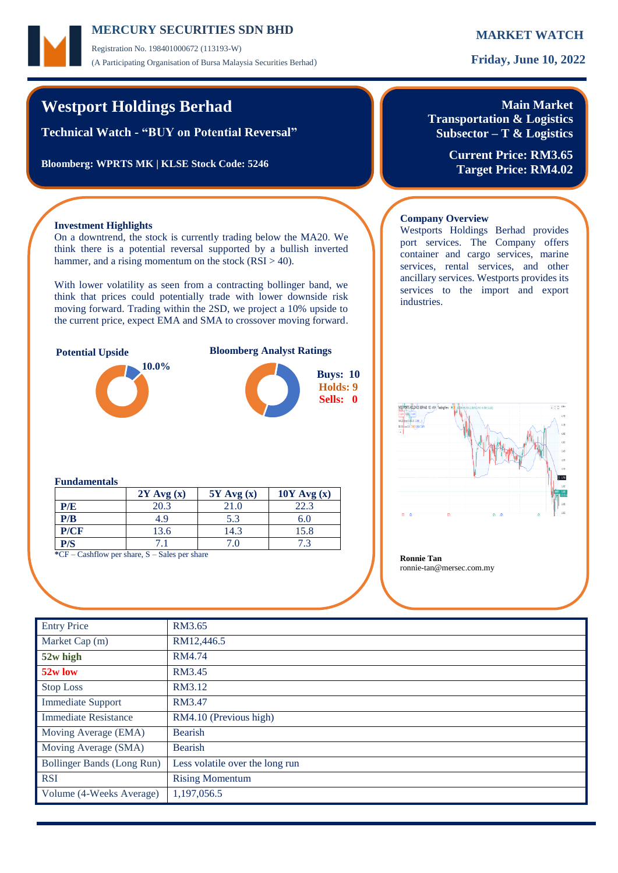Registration No. 198401000672 (113193-W) (A Participating Organisation of Bursa Malaysia Securities Berhad) **Friday, June 10, 2022**

# **Westport Holdings Berhad**

**Technical Watch - "BUY on Potential Reversal"**

**Bloomberg: WPRTS MK | KLSE Stock Code: 5246**

# **Main Market**

**Transportation & Logistics Subsector – T & Logistics**

Westports Holdings Berhad provides port services. The Company offers container and cargo services, marine services, rental services, and other

services to the import and export

**Current Price: RM3.65 Target Price: RM4.02**

## **Investment Highlights**

On a downtrend, the stock is currently trading below the MA20. We think there is a potential reversal supported by a bullish inverted hammer, and a rising momentum on the stock  $(RSI > 40)$ .

With lower volatility as seen from a contracting bollinger band, we think that prices could potentially trade with lower downside risk moving forward. Trading within the 2SD, we project a 10% upside to the current price, expect EMA and SMA to crossover moving forward.



### ancillary services. Westports provides its

industries.

**Company Overview**

### **Fundamentals**

|                                                                                                                                            | $2Y$ Avg $(x)$ | $5Y$ Avg $(x)$ | $10Y$ Avg $(x)$ |  |  |  |  |
|--------------------------------------------------------------------------------------------------------------------------------------------|----------------|----------------|-----------------|--|--|--|--|
| P/E                                                                                                                                        | 20.3           | 21.0           | 22.3            |  |  |  |  |
| P/B                                                                                                                                        | 4.9            | 5.3            | 6.0             |  |  |  |  |
| P/CF                                                                                                                                       | 13.6           | 14.3           | 15.8            |  |  |  |  |
| P/S                                                                                                                                        |                | 7 0            |                 |  |  |  |  |
| $C_{\rm F}$ $C_{\rm co}$ $\sim$ $C_{\rm o}$ $\sim$ $C_{\rm o}$ $\sim$ $C_{\rm o}$ $\sim$ $C_{\rm o}$ $\sim$ $C_{\rm o}$ $\sim$ $C_{\rm o}$ |                |                |                 |  |  |  |  |

**Example 1 Example 1 Ronnie Tan Ronnie Tan Ronnie Tan** 

ronnie-tan@mersec.com.my

| <b>Entry Price</b>                | RM3.65                          |
|-----------------------------------|---------------------------------|
| Market Cap (m)                    | RM12,446.5                      |
| 52w high                          | RM4.74                          |
| 52w low                           | RM3.45                          |
| <b>Stop Loss</b>                  | RM3.12                          |
| <b>Immediate Support</b>          | RM3.47                          |
| <b>Immediate Resistance</b>       | RM4.10 (Previous high)          |
| Moving Average (EMA)              | <b>Bearish</b>                  |
| Moving Average (SMA)              | Bearish                         |
| <b>Bollinger Bands (Long Run)</b> | Less volatile over the long run |
| <b>RSI</b>                        | <b>Rising Momentum</b>          |
| Volume (4-Weeks Average)          | 1,197,056.5                     |
|                                   |                                 |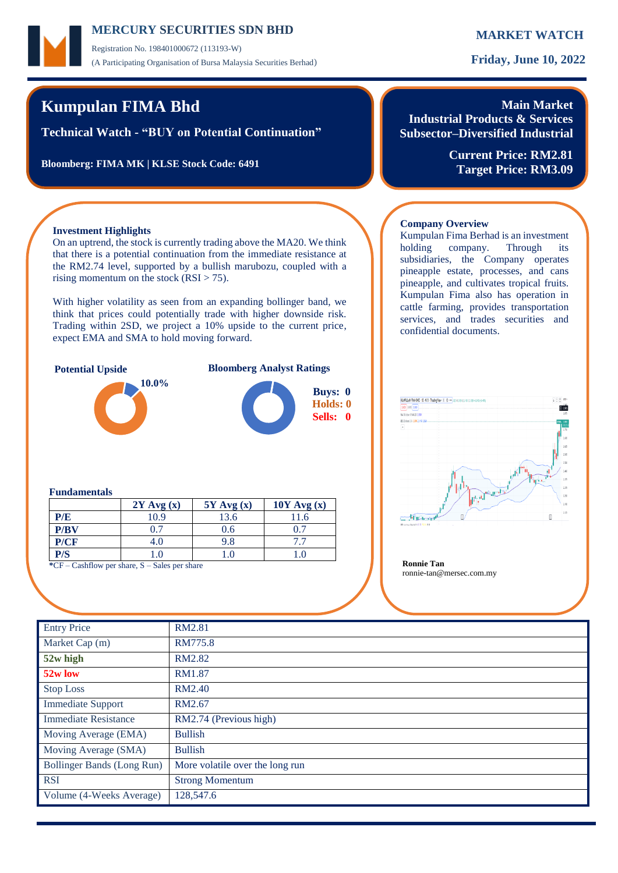Registration No. 198401000672 (113193-W) (A Participating Organisation of Bursa Malaysia Securities Berhad) **Friday, June 10, 2022**

# **Kumpulan FIMA Bhd**

**Technical Watch - "BUY on Potential Continuation"**

**Bloomberg: FIMA MK | KLSE Stock Code: 6491**

## **Main Market Industrial Products & Services Subsector–Diversified Industrial**

**Current Price: RM2.81 Target Price: RM3.09**

## **Investment Highlights**

On an uptrend, the stock is currently trading above the MA20. We think that there is a potential continuation from the immediate resistance at the RM2.74 level, supported by a bullish marubozu, coupled with a rising momentum on the stock  $(RSI > 75)$ .

With higher volatility as seen from an expanding bollinger band, we think that prices could potentially trade with higher downside risk. Trading within 2SD, we project a 10% upside to the current price, expect EMA and SMA to hold moving forward.



**Potential Upside Bloomberg Analyst Ratings**



### **Company Overview** Kumpulan Fima Berhad is an investment

holding company. Through its subsidiaries, the Company operates pineapple estate, processes, and cans pineapple, and cultivates tropical fruits. Kumpulan Fima also has operation in cattle farming, provides transportation services, and trades securities and confidential documents.



ronnie-tan@mersec.com.my

### **Fundamentals**

|      | $2Y$ Avg $(x)$                                     | $5Y$ Avg $(x)$ | $10Y$ Avg $(x)$ |  |
|------|----------------------------------------------------|----------------|-----------------|--|
| P/E  | 10.9                                               | 3.6            |                 |  |
| P/BV |                                                    | J.O            |                 |  |
| P/CF | 4.U                                                |                |                 |  |
| P/S  |                                                    |                |                 |  |
|      | ${}^*CF$ – Cashflow per share, S – Sales per share |                |                 |  |

| <b>Entry Price</b>          | RM2.81                          |
|-----------------------------|---------------------------------|
| Market Cap (m)              | RM775.8                         |
| 52w high                    | RM2.82                          |
| 52w low                     | <b>RM1.87</b>                   |
| <b>Stop Loss</b>            | <b>RM2.40</b>                   |
| <b>Immediate Support</b>    | RM2.67                          |
| <b>Immediate Resistance</b> | RM2.74 (Previous high)          |
| Moving Average (EMA)        | <b>Bullish</b>                  |
| Moving Average (SMA)        | <b>Bullish</b>                  |
| Bollinger Bands (Long Run)  | More volatile over the long run |
| <b>RSI</b>                  | <b>Strong Momentum</b>          |
| Volume (4-Weeks Average)    | 128,547.6                       |
|                             |                                 |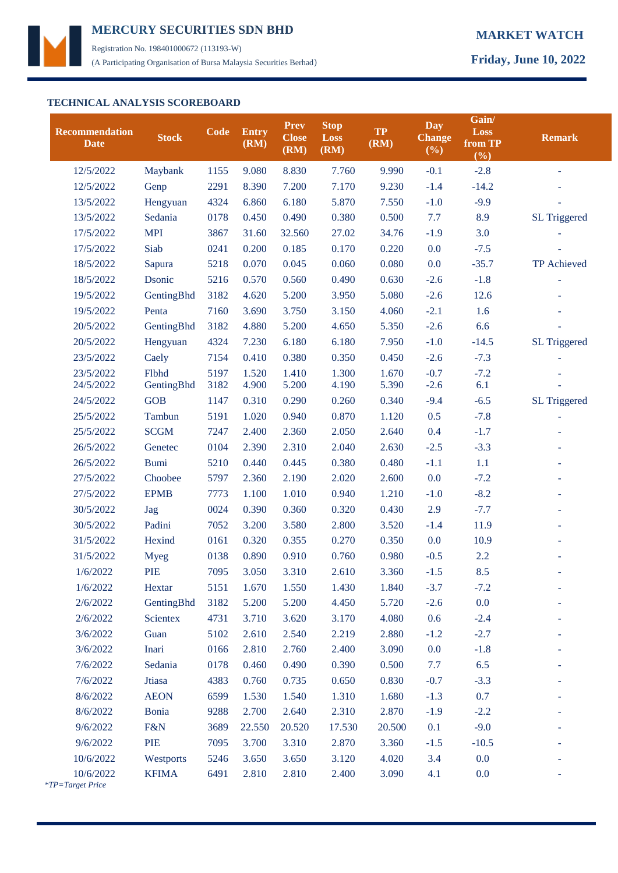

Registration No. 198401000672 (113193-W) (A Participating Organisation of Bursa Malaysia Securities Berhad) **Friday, June 10, 2022**

## **TECHNICAL ANALYSIS SCOREBOARD**

| <b>Recommendation</b><br><b>Date</b> | <b>Stock</b>    | Code | <b>Entry</b><br>(RM) | <b>Prev</b><br><b>Close</b><br>(RM) | <b>Stop</b><br>Loss<br>(RM) | <b>TP</b><br>(RM) | <b>Day</b><br><b>Change</b><br>$(\%)$ | Gain/<br>Loss<br>from TP<br>(%) | <b>Remark</b>       |
|--------------------------------------|-----------------|------|----------------------|-------------------------------------|-----------------------------|-------------------|---------------------------------------|---------------------------------|---------------------|
| 12/5/2022                            | Maybank         | 1155 | 9.080                | 8.830                               | 7.760                       | 9.990             | $-0.1$                                | $-2.8$                          |                     |
| 12/5/2022                            | Genp            | 2291 | 8.390                | 7.200                               | 7.170                       | 9.230             | $-1.4$                                | $-14.2$                         |                     |
| 13/5/2022                            | Hengyuan        | 4324 | 6.860                | 6.180                               | 5.870                       | 7.550             | $-1.0$                                | $-9.9$                          |                     |
| 13/5/2022                            | Sedania         | 0178 | 0.450                | 0.490                               | 0.380                       | 0.500             | 7.7                                   | 8.9                             | <b>SL Triggered</b> |
| 17/5/2022                            | <b>MPI</b>      | 3867 | 31.60                | 32.560                              | 27.02                       | 34.76             | $-1.9$                                | 3.0                             |                     |
| 17/5/2022                            | Siab            | 0241 | 0.200                | 0.185                               | 0.170                       | 0.220             | 0.0                                   | $-7.5$                          |                     |
| 18/5/2022                            | Sapura          | 5218 | 0.070                | 0.045                               | 0.060                       | 0.080             | 0.0                                   | $-35.7$                         | TP Achieved         |
| 18/5/2022                            | Dsonic          | 5216 | 0.570                | 0.560                               | 0.490                       | 0.630             | $-2.6$                                | $-1.8$                          |                     |
| 19/5/2022                            | GentingBhd      | 3182 | 4.620                | 5.200                               | 3.950                       | 5.080             | $-2.6$                                | 12.6                            |                     |
| 19/5/2022                            | Penta           | 7160 | 3.690                | 3.750                               | 3.150                       | 4.060             | $-2.1$                                | 1.6                             |                     |
| 20/5/2022                            | GentingBhd      | 3182 | 4.880                | 5.200                               | 4.650                       | 5.350             | $-2.6$                                | 6.6                             |                     |
| 20/5/2022                            | Hengyuan        | 4324 | 7.230                | 6.180                               | 6.180                       | 7.950             | $-1.0$                                | $-14.5$                         | <b>SL Triggered</b> |
| 23/5/2022                            | Caely           | 7154 | 0.410                | 0.380                               | 0.350                       | 0.450             | $-2.6$                                | $-7.3$                          |                     |
| 23/5/2022                            | Flbhd           | 5197 | 1.520                | 1.410                               | 1.300                       | 1.670             | $-0.7$                                | $-7.2$                          |                     |
| 24/5/2022                            | GentingBhd      | 3182 | 4.900                | 5.200                               | 4.190                       | 5.390             | $-2.6$                                | 6.1                             |                     |
| 24/5/2022                            | <b>GOB</b>      | 1147 | 0.310                | 0.290                               | 0.260                       | 0.340             | $-9.4$                                | $-6.5$                          | <b>SL Triggered</b> |
| 25/5/2022                            | Tambun          | 5191 | 1.020                | 0.940                               | 0.870                       | 1.120             | 0.5                                   | $-7.8$                          |                     |
| 25/5/2022                            | <b>SCGM</b>     | 7247 | 2.400                | 2.360                               | 2.050                       | 2.640             | 0.4                                   | $-1.7$                          |                     |
| 26/5/2022                            | Genetec         | 0104 | 2.390                | 2.310                               | 2.040                       | 2.630             | $-2.5$                                | $-3.3$                          |                     |
| 26/5/2022                            | <b>Bumi</b>     | 5210 | 0.440                | 0.445                               | 0.380                       | 0.480             | $-1.1$                                | 1.1                             |                     |
| 27/5/2022                            | Choobee         | 5797 | 2.360                | 2.190                               | 2.020                       | 2.600             | 0.0                                   | $-7.2$                          |                     |
| 27/5/2022                            | <b>EPMB</b>     | 7773 | 1.100                | 1.010                               | 0.940                       | 1.210             | $-1.0$                                | $-8.2$                          |                     |
| 30/5/2022                            | Jag             | 0024 | 0.390                | 0.360                               | 0.320                       | 0.430             | 2.9                                   | $-7.7$                          |                     |
| 30/5/2022                            | Padini          | 7052 | 3.200                | 3.580                               | 2.800                       | 3.520             | $-1.4$                                | 11.9                            |                     |
| 31/5/2022                            | Hexind          | 0161 | 0.320                | 0.355                               | 0.270                       | 0.350             | 0.0                                   | 10.9                            |                     |
| 31/5/2022                            | <b>Myeg</b>     | 0138 | 0.890                | 0.910                               | 0.760                       | 0.980             | $-0.5$                                | 2.2                             |                     |
| 1/6/2022                             | PIE             | 7095 | 3.050                | 3.310                               | 2.610                       | 3.360             | $-1.5$                                | 8.5                             |                     |
| 1/6/2022                             | Hextar          | 5151 | 1.670                | 1.550                               | 1.430                       | 1.840             | $-3.7$                                | $-7.2$                          |                     |
| 2/6/2022                             | GentingBhd      | 3182 | 5.200                | 5.200                               | 4.450                       | 5.720             | $-2.6$                                | 0.0                             |                     |
| 2/6/2022                             | <b>Scientex</b> | 4731 | 3.710                | 3.620                               | 3.170                       | 4.080             | 0.6                                   | $-2.4$                          |                     |
| 3/6/2022                             | Guan            | 5102 | 2.610                | 2.540                               | 2.219                       | 2.880             | $-1.2$                                | $-2.7$                          |                     |
| 3/6/2022                             | Inari           | 0166 | 2.810                | 2.760                               | 2.400                       | 3.090             | 0.0                                   | $-1.8$                          |                     |
| 7/6/2022                             | Sedania         | 0178 | 0.460                | 0.490                               | 0.390                       | 0.500             | 7.7                                   | 6.5                             |                     |
| 7/6/2022                             | Jtiasa          | 4383 | 0.760                | 0.735                               | 0.650                       | 0.830             | $-0.7$                                | $-3.3$                          |                     |
| 8/6/2022                             | <b>AEON</b>     | 6599 | 1.530                | 1.540                               | 1.310                       | 1.680             | $-1.3$                                | 0.7                             |                     |
| 8/6/2022                             | <b>Bonia</b>    | 9288 | 2.700                | 2.640                               | 2.310                       | 2.870             | $-1.9$                                | $-2.2$                          |                     |
| 9/6/2022                             | F&N             | 3689 | 22.550               | 20.520                              | 17.530                      | 20.500            | 0.1                                   | $-9.0$                          |                     |
| 9/6/2022                             | PIE             | 7095 | 3.700                | 3.310                               | 2.870                       | 3.360             | $-1.5$                                | $-10.5$                         |                     |
| 10/6/2022                            | Westports       | 5246 | 3.650                | 3.650                               | 3.120                       | 4.020             | 3.4                                   | 0.0                             |                     |
| 10/6/2022<br>*TP=Target Price        | <b>KFIMA</b>    | 6491 | 2.810                | 2.810                               | 2.400                       | 3.090             | 4.1                                   | 0.0                             |                     |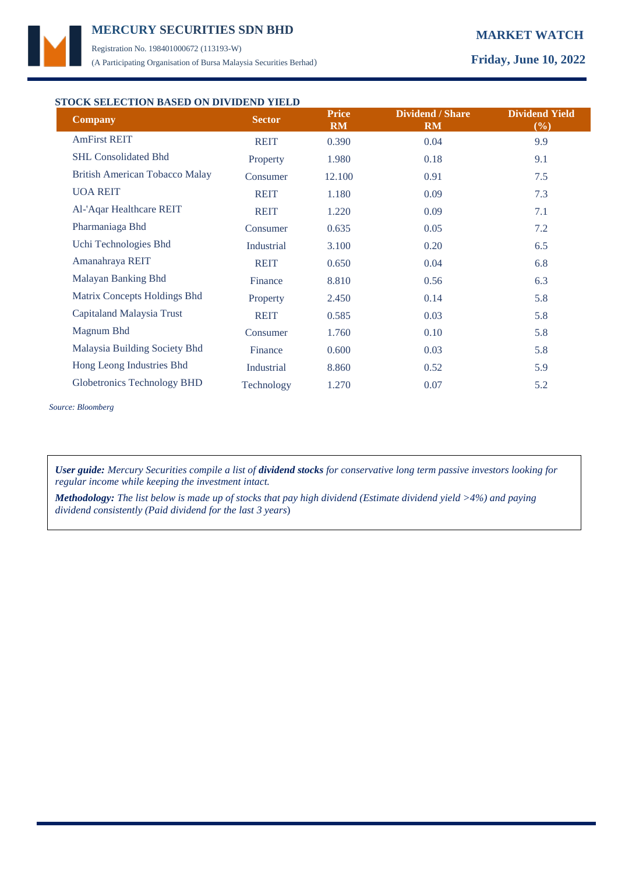

Registration No. 198401000672 (113193-W) (A Participating Organisation of Bursa Malaysia Securities Berhad) **Friday, June 10, 2022**

## **STOCK SELECTION BASED ON DIVIDEND YIELD**

| TOCK SELECTION DASED ON DIVIDEND THEFT<br><b>Company</b> | <b>Sector</b> | <b>Price</b><br><b>RM</b> | <b>Dividend / Share</b><br>RM | <b>Dividend Yield</b><br>(%) |
|----------------------------------------------------------|---------------|---------------------------|-------------------------------|------------------------------|
| <b>AmFirst REIT</b>                                      | <b>REIT</b>   | 0.390                     | 0.04                          | 9.9                          |
| <b>SHL Consolidated Bhd</b>                              | Property      | 1.980                     | 0.18                          | 9.1                          |
| <b>British American Tobacco Malay</b>                    | Consumer      | 12.100                    | 0.91                          | 7.5                          |
| <b>UOA REIT</b>                                          | <b>REIT</b>   | 1.180                     | 0.09                          | 7.3                          |
| Al-'Aqar Healthcare REIT                                 | <b>REIT</b>   | 1.220                     | 0.09                          | 7.1                          |
| Pharmaniaga Bhd                                          | Consumer      | 0.635                     | 0.05                          | 7.2                          |
| Uchi Technologies Bhd                                    | Industrial    | 3.100                     | 0.20                          | 6.5                          |
| Amanahraya REIT                                          | <b>REIT</b>   | 0.650                     | 0.04                          | 6.8                          |
| Malayan Banking Bhd                                      | Finance       | 8.810                     | 0.56                          | 6.3                          |
| Matrix Concepts Holdings Bhd                             | Property      | 2.450                     | 0.14                          | 5.8                          |
| Capitaland Malaysia Trust                                | <b>REIT</b>   | 0.585                     | 0.03                          | 5.8                          |
| Magnum Bhd                                               | Consumer      | 1.760                     | 0.10                          | 5.8                          |
| Malaysia Building Society Bhd                            | Finance       | 0.600                     | 0.03                          | 5.8                          |
| Hong Leong Industries Bhd                                | Industrial    | 8.860                     | 0.52                          | 5.9                          |
| <b>Globetronics Technology BHD</b>                       | Technology    | 1.270                     | 0.07                          | 5.2                          |

*Source: Bloomberg*

*User guide: Mercury Securities compile a list of dividend stocks for conservative long term passive investors looking for regular income while keeping the investment intact.*

*Methodology: The list below is made up of stocks that pay high dividend (Estimate dividend yield >4%) and paying dividend consistently (Paid dividend for the last 3 years*)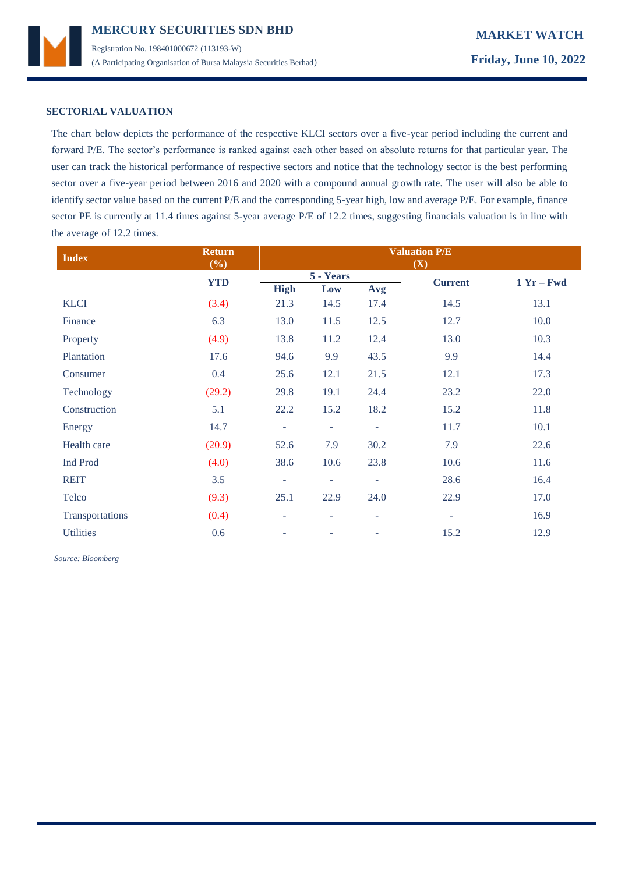

## **SECTORIAL VALUATION**

The chart below depicts the performance of the respective KLCI sectors over a five-year period including the current and forward P/E. The sector's performance is ranked against each other based on absolute returns for that particular year. The user can track the historical performance of respective sectors and notice that the technology sector is the best performing sector over a five-year period between 2016 and 2020 with a compound annual growth rate. The user will also be able to identify sector value based on the current P/E and the corresponding 5-year high, low and average P/E. For example, finance sector PE is currently at 11.4 times against 5-year average P/E of 12.2 times, suggesting financials valuation is in line with the average of 12.2 times.

| <b>Index</b>     | <b>Return</b><br>(%) | <b>Valuation P/E</b><br>(X) |                          |        |                          |              |
|------------------|----------------------|-----------------------------|--------------------------|--------|--------------------------|--------------|
|                  | <b>YTD</b>           |                             | 5 - Years                |        | <b>Current</b>           | $1 Yr - Fwd$ |
|                  |                      | <b>High</b>                 | Low                      | Avg    |                          |              |
| <b>KLCI</b>      | (3.4)                | 21.3                        | 14.5                     | 17.4   | 14.5                     | 13.1         |
| Finance          | 6.3                  | 13.0                        | 11.5                     | 12.5   | 12.7                     | 10.0         |
| Property         | (4.9)                | 13.8                        | 11.2                     | 12.4   | 13.0                     | 10.3         |
| Plantation       | 17.6                 | 94.6                        | 9.9                      | 43.5   | 9.9                      | 14.4         |
| Consumer         | 0.4                  | 25.6                        | 12.1                     | 21.5   | 12.1                     | 17.3         |
| Technology       | (29.2)               | 29.8                        | 19.1                     | 24.4   | 23.2                     | 22.0         |
| Construction     | 5.1                  | 22.2                        | 15.2                     | 18.2   | 15.2                     | 11.8         |
| Energy           | 14.7                 | ÷                           | $\overline{\phantom{a}}$ | $\sim$ | 11.7                     | 10.1         |
| Health care      | (20.9)               | 52.6                        | 7.9                      | 30.2   | 7.9                      | 22.6         |
| <b>Ind Prod</b>  | (4.0)                | 38.6                        | 10.6                     | 23.8   | 10.6                     | 11.6         |
| <b>REIT</b>      | 3.5                  | $\overline{\phantom{a}}$    | ÷                        | $\sim$ | 28.6                     | 16.4         |
| Telco            | (9.3)                | 25.1                        | 22.9                     | 24.0   | 22.9                     | 17.0         |
| Transportations  | (0.4)                | ۰                           | $\overline{\phantom{a}}$ | ٠      | $\overline{\phantom{a}}$ | 16.9         |
| <b>Utilities</b> | 0.6                  | ٠                           | ۰                        | ٠      | 15.2                     | 12.9         |

 *Source: Bloomberg*